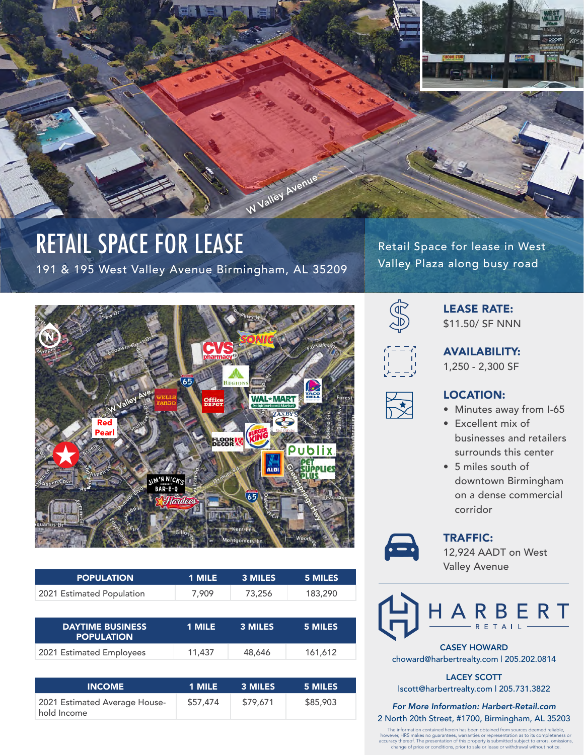

## RETAIL SPACE FOR LEASE

191 & 195 West Valley Avenue Birmingham, AL 35209

Retail Space for lease in West Valley Plaza along busy road



| <b>POPULATION</b>                            | 1 MILE | 3 MILES | 5 MILES |
|----------------------------------------------|--------|---------|---------|
| 2021 Estimated Population                    | 7,909  | 73,256  | 183,290 |
|                                              |        |         |         |
| <b>DAYTIME BUSINESS</b><br><b>POPULATION</b> | 1 MILE | 3 MILES | 5 MILES |

| <b>INCOME</b>                                | 1 MILE   | 3 MILES  | 5 MILES  |
|----------------------------------------------|----------|----------|----------|
| 2021 Estimated Average House-<br>hold Income | \$57,474 | \$79,671 | \$85,903 |



## LEASE RATE: \$11.50/ SF NNN



AVAILABILITY:

1,250 - 2,300 SF



## LOCATION:

- Minutes away from I-65
- Excellent mix of businesses and retailers surrounds this center
- 5 miles south of downtown Birmingham on a dense commercial corridor



TRAFFIC:

12,924 AADT on West Valley Avenue



CASEY HOWARD choward@harbertrealty.com | 205.202.0814

LACEY SCOTT lscott@harbertrealty.com | 205.731.3822

*For More Information: Harbert-Retail.com* 2 North 20th Street, #1700, Birmingham, AL 35203

The information contained herein has been obtained from sources deemed reliable,<br>however, HRS makes no guarantees, warranties or representation as to its completeness or<br>accuracy thereof. The presentation of this property